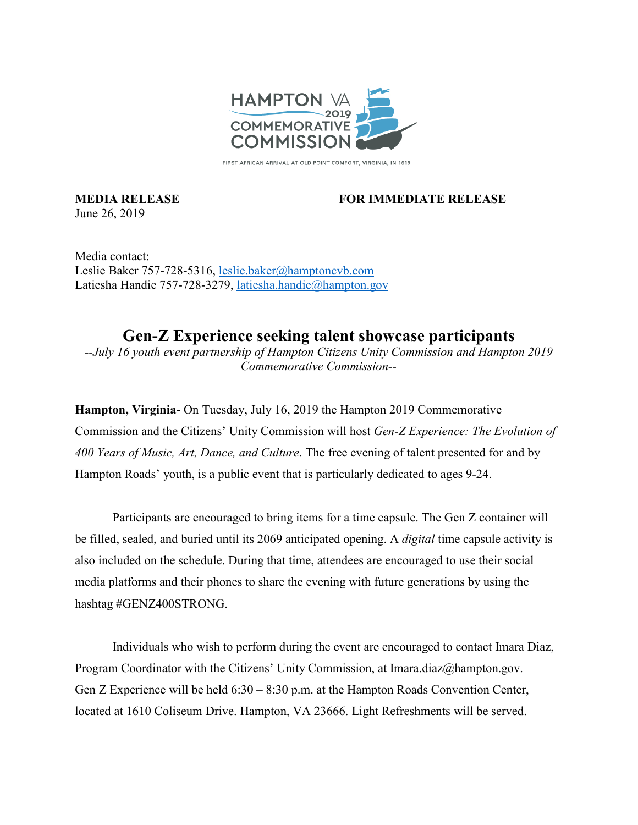

FIRST AFRICAN ARRIVAL AT OLD POINT COMFORT, VIRGINIA, IN 1619

June 26, 2019

## **MEDIA RELEASE FOR IMMEDIATE RELEASE**

Media contact: Leslie Baker 757-728-5316, [leslie.baker@hamptoncvb.com](mailto:leslie.baker@hamptoncvb.com) Latiesha Handie 757-728-3279, [latiesha.handie@hampton.gov](mailto:latiesha.handie@hampton.gov)

**Gen-Z Experience seeking talent showcase participants** *--July 16 youth event partnership of Hampton Citizens Unity Commission and Hampton 2019 Commemorative Commission--*

**Hampton, Virginia-** On Tuesday, July 16, 2019 the Hampton 2019 Commemorative Commission and the Citizens' Unity Commission will host *Gen-Z Experience: The Evolution of 400 Years of Music, Art, Dance, and Culture*. The free evening of talent presented for and by Hampton Roads' youth, is a public event that is particularly dedicated to ages 9-24.

Participants are encouraged to bring items for a time capsule. The Gen Z container will be filled, sealed, and buried until its 2069 anticipated opening. A *digital* time capsule activity is also included on the schedule. During that time, attendees are encouraged to use their social media platforms and their phones to share the evening with future generations by using the hashtag #GENZ400STRONG.

Individuals who wish to perform during the event are encouraged to contact Imara Diaz, Program Coordinator with the Citizens' Unity Commission, at Imara.diaz@hampton.gov. Gen Z Experience will be held 6:30 – 8:30 p.m. at the Hampton Roads Convention Center, located at 1610 Coliseum Drive. Hampton, VA 23666. Light Refreshments will be served.